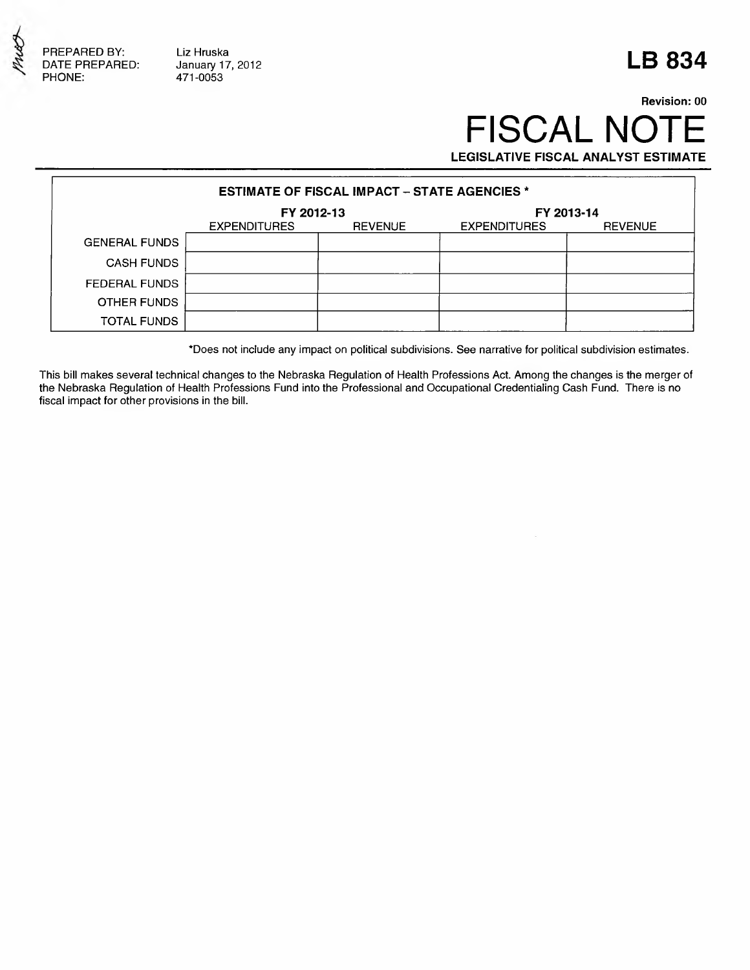

Liz Hruska January 17, 2012 471-0053

## **LB 834**

## **Revision: 00** FISCAL NOTE **LEGISLATIVE FISCAL ANALYST ESTIMATE**

| <b>ESTIMATE OF FISCAL IMPACT – STATE AGENCIES *</b> |                     |                |                     |                |  |  |  |  |
|-----------------------------------------------------|---------------------|----------------|---------------------|----------------|--|--|--|--|
|                                                     | FY 2012-13          |                | FY 2013-14          |                |  |  |  |  |
|                                                     | <b>EXPENDITURES</b> | <b>REVENUE</b> | <b>EXPENDITURES</b> | <b>REVENUE</b> |  |  |  |  |
| <b>GENERAL FUNDS</b>                                |                     |                |                     |                |  |  |  |  |
| <b>CASH FUNDS</b>                                   |                     |                |                     |                |  |  |  |  |
| <b>FEDERAL FUNDS</b>                                |                     |                |                     |                |  |  |  |  |
| OTHER FUNDS                                         |                     |                |                     |                |  |  |  |  |
| <b>TOTAL FUNDS</b>                                  |                     |                |                     |                |  |  |  |  |

\*Does not include any impact on political subdivisions. See narrative for political subdivision estimates.

This bill makes several technical changes to the Nebraska Regulation of Health Professions Act. Among the changes is the merger of the Nebraska Regulation of Health Professions Fund into the Professional and Occupational Credentialing Cash Fund. There is no fiscal impact for other provisions in the bill.